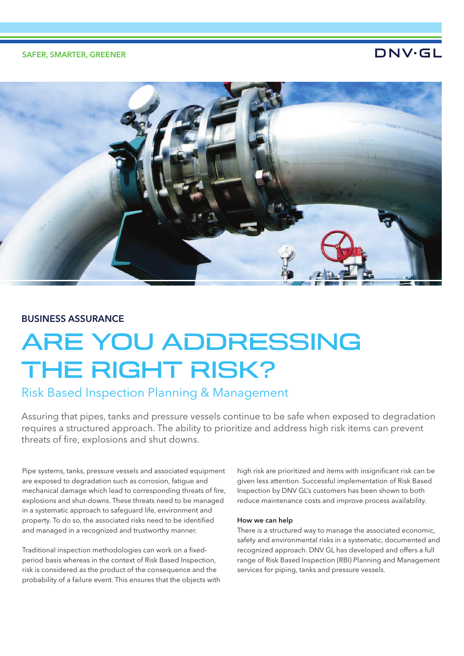## SAFER, SMARTER, GREENER

## DNV·GL



## BUSINESS ASSURANCE

# ARE YOU ADDRESSING THE RIGHT RISK?

## Risk Based Inspection Planning & Management

Assuring that pipes, tanks and pressure vessels continue to be safe when exposed to degradation requires a structured approach. The ability to prioritize and address high risk items can prevent threats of ire, explosions and shut downs.

Pipe systems, tanks, pressure vessels and associated equipment are exposed to degradation such as corrosion, fatigue and mechanical damage which lead to corresponding threats of ire, explosions and shut-downs. These threats need to be managed in a systematic approach to safeguard life, environment and property. To do so, the associated risks need to be identified and managed in a recognized and trustworthy manner.

Traditional inspection methodologies can work on a fixedperiod basis whereas in the context of Risk Based Inspection, risk is considered as the product of the consequence and the probability of a failure event. This ensures that the objects with high risk are prioritized and items with insignificant risk can be given less attention. Successful implementation of Risk Based Inspection by DNV GL's customers has been shown to both reduce maintenance costs and improve process availability.

## How we can help

There is a structured way to manage the associated economic, safety and environmental risks in a systematic, documented and recognized approach. DNV GL has developed and offers a full range of Risk Based Inspection (RBI) Planning and Management services for piping, tanks and pressure vessels.